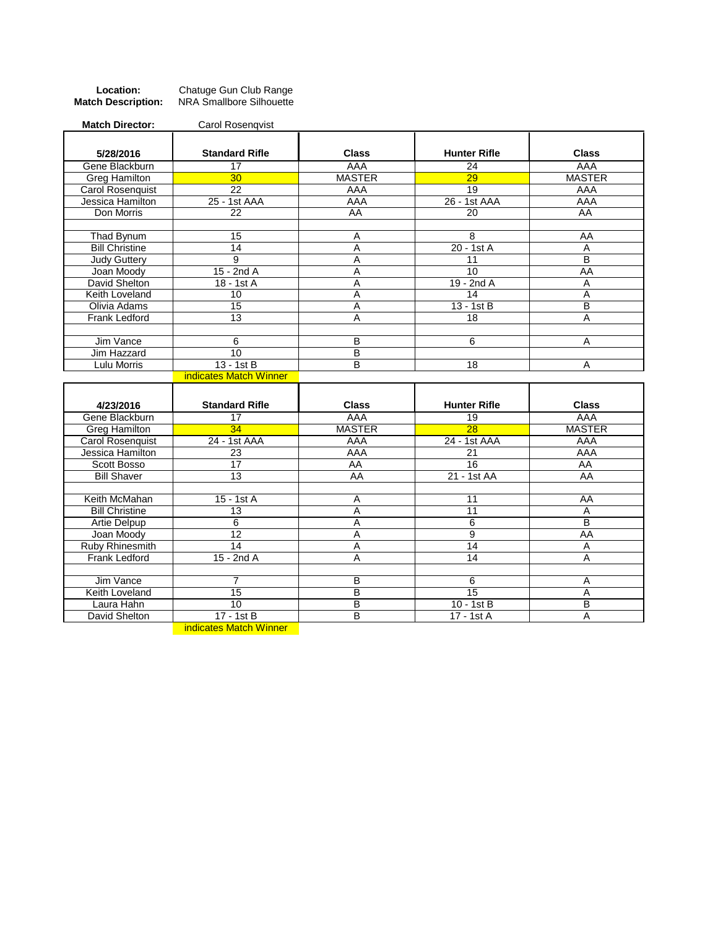| Location:                 | Chatuge Gun Club Range   |
|---------------------------|--------------------------|
| <b>Match Description:</b> | NRA Smallbore Silhouette |

| <b>Match Director:</b>      | Carol Rosenqvist       |                |                            |                |
|-----------------------------|------------------------|----------------|----------------------------|----------------|
| 5/28/2016                   | <b>Standard Rifle</b>  | <b>Class</b>   | <b>Hunter Rifle</b>        | <b>Class</b>   |
| Gene Blackburn              | $\overline{17}$        | AAA            | 24                         | AAA            |
| <b>Greg Hamilton</b>        | 30 <sub>2</sub>        | <b>MASTER</b>  | $\overline{29}$            | <b>MASTER</b>  |
| <b>Carol Rosenquist</b>     | $\overline{22}$        | AAA            | $\overline{19}$            | AAA            |
| Jessica Hamilton            | 25 - 1st AAA           | AAA            | 26 - 1st AAA               | AAA            |
| Don Morris                  | 22                     | AA             | 20                         | AA             |
|                             |                        |                |                            |                |
| Thad Bynum                  | $\overline{15}$        | A              | 8                          | AA             |
| <b>Bill Christine</b>       | 14                     | $\overline{A}$ | $20 - 1st$ A               | $\overline{A}$ |
| <b>Judy Guttery</b>         | 9                      | A              | 11                         | B              |
| Joan Moody                  | $15 - 2ndA$            | Ā              | 10                         | AA             |
| David Shelton               | 18 - 1st A             | A              | $19 - 2ndA$                | A              |
| Keith Loveland              | 10                     | A              | 14                         | A              |
| Olivia Adams                | 15                     | A              | $13 - 1stB$                | $\overline{B}$ |
| Frank Ledford               | 13                     | A              | $\overline{18}$            | A              |
|                             |                        |                |                            |                |
| Jim Vance                   | 6                      | B              | 6                          | Α              |
| Jim Hazzard                 | 10                     | $\overline{B}$ |                            |                |
| Lulu Morris                 | $13 - 1st$ B           | $\overline{B}$ | $\overline{18}$            | A              |
|                             | indicates Match Winner |                |                            |                |
|                             |                        |                |                            |                |
|                             |                        |                |                            |                |
| 4/23/2016                   | <b>Standard Rifle</b>  | <b>Class</b>   | <b>Hunter Rifle</b>        | <b>Class</b>   |
| Gene Blackburn              | $\overline{17}$        | <b>AAA</b>     | $\overline{19}$            | <b>AAA</b>     |
| <b>Greg Hamilton</b>        | 34                     | <b>MASTER</b>  | $\overline{28}$            | <b>MASTER</b>  |
| <b>Carol Rosenquist</b>     | 24 - 1st AAA           | AAA            | 24 - 1st AAA               | AAA            |
| Jessica Hamilton            | 23                     | <b>AAA</b>     | 21                         | AAA            |
| Scott Bosso                 | $\overline{17}$        | AA             | 16                         | AA             |
| <b>Bill Shaver</b>          | 13                     | AA             | 21 - 1st AA                | AA             |
|                             |                        |                |                            |                |
| Keith McMahan               | 15 - 1st A             | A              | 11                         | AA             |
| <b>Bill Christine</b>       | $\overline{13}$        | $\overline{A}$ | 11                         | A              |
| <b>Artie Delpup</b>         | 6                      | A              | $\overline{6}$             | B              |
| Joan Moody                  | $\overline{12}$        | $\overline{A}$ | $\overline{9}$             | <b>AA</b>      |
| Ruby Rhinesmith             | 14                     | Α              | 14                         | Α              |
| <b>Frank Ledford</b>        | 15 - 2nd A             | A              | $\overline{14}$            | $\overline{A}$ |
|                             |                        |                |                            |                |
| Jim Vance                   | 7                      | B              | $6\overline{6}$            | A              |
| Keith Loveland              | 15                     | B              | 15                         | A              |
| Laura Hahn<br>David Shelton | 10<br>17 - 1st B       | B<br>B         | $10 - 1st$ B<br>17 - 1st A | B<br>A         |

**indicates Match Winner**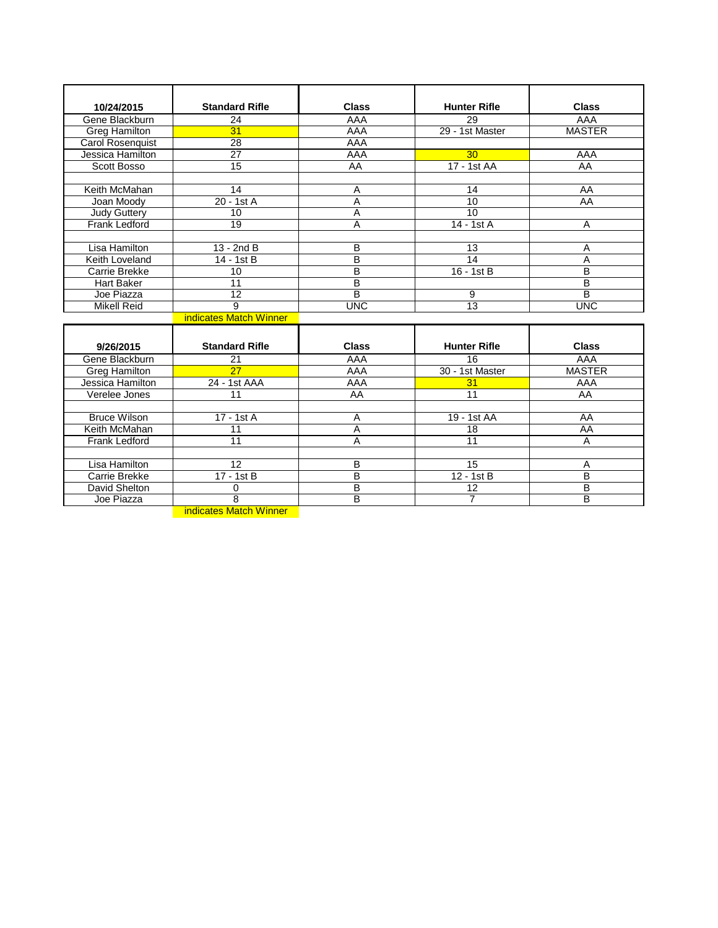| 10/24/2015              | <b>Standard Rifle</b>  | <b>Class</b>   | <b>Hunter Rifle</b> | <b>Class</b>            |
|-------------------------|------------------------|----------------|---------------------|-------------------------|
| Gene Blackburn          | $\overline{24}$        | <b>AAA</b>     | 29                  | <b>AAA</b>              |
| <b>Greg Hamilton</b>    | 31                     | AAA            | 29 - 1st Master     | <b>MASTER</b>           |
| <b>Carol Rosenquist</b> | 28                     | AAA            |                     |                         |
| Jessica Hamilton        | $\overline{27}$        | AAA            | 30                  | AAA                     |
| Scott Bosso             | $\overline{15}$        | AA             | 17 - 1st AA         | AA                      |
|                         |                        |                |                     |                         |
| Keith McMahan           | 14                     | Α              | 14                  | AA                      |
| Joan Moody              | 20 - 1st A             | A              | 10                  | AA                      |
| <b>Judy Guttery</b>     | 10                     | A              | $\overline{10}$     |                         |
| Frank Ledford           | 19                     | $\overline{A}$ | 14 - 1st A          | A                       |
|                         |                        |                |                     |                         |
| Lisa Hamilton           | $13 - 2ndB$            | в              | 13                  | Α                       |
| Keith Loveland          | 14 - 1st B             | B              | 14                  | A                       |
| Carrie Brekke           | 10                     | $\overline{B}$ | 16 - 1st B          | $\overline{B}$          |
| <b>Hart Baker</b>       | 11                     | $\overline{B}$ |                     | B                       |
| Joe Piazza              | 12                     | $\overline{B}$ | 9                   | $\overline{\mathsf{B}}$ |
| <b>Mikell Reid</b>      | 9                      | <b>UNC</b>     | $\overline{13}$     | <b>UNC</b>              |
|                         | indicates Match Winner |                |                     |                         |
|                         |                        |                |                     |                         |
| 9/26/2015               | <b>Standard Rifle</b>  | <b>Class</b>   | <b>Hunter Rifle</b> | <b>Class</b>            |
| Gene Blackburn          | 21                     | AAA            | 16                  | AAA                     |
| <b>Greg Hamilton</b>    | 27                     | AAA            | 30 - 1st Master     | <b>MASTER</b>           |
| Jessica Hamilton        | 24 - 1st AAA           | AAA            | 31                  | AAA                     |
| Verelee Jones           | 11                     | AA             | 11                  | AA                      |
|                         |                        |                |                     |                         |
| <b>Bruce Wilson</b>     | 17 - 1st A             | A              | 19 - 1st AA         | AA                      |
| Keith McMahan           | 11                     | $\overline{A}$ | 18                  | AA                      |
| Frank Ledford           | 11                     | A              | 11                  | A                       |
|                         |                        |                |                     |                         |
| Lisa Hamilton           | 12                     | B              | 15                  | Α                       |
| Carrie Brekke           | 17 - 1st B             | $\overline{B}$ | 12 - 1st B          | B                       |
| David Shelton           | 0                      | B              | $\overline{12}$     | B                       |

Joe Piazza 8 B 7 B

indicates Match Winner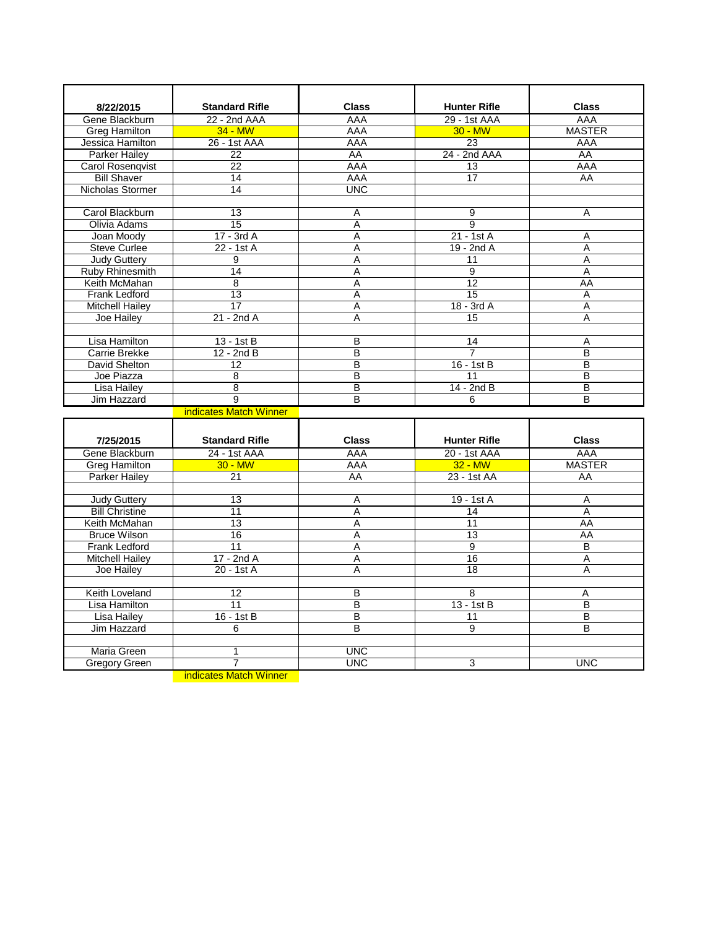| 8/22/2015              | <b>Standard Rifle</b>  | <b>Class</b>   | <b>Hunter Rifle</b> | <b>Class</b>            |
|------------------------|------------------------|----------------|---------------------|-------------------------|
| Gene Blackburn         | 22 - 2nd AAA           | AAA            | 29 - 1st AAA        | AAA                     |
| <b>Greg Hamilton</b>   | $34 - MW$              | AAA            | $30 - MW$           | <b>MASTER</b>           |
| Jessica Hamilton       | 26 - 1st AAA           | AAA            | 23                  | AAA                     |
| Parker Hailev          | 22                     | AA             | 24 - 2nd AAA        | AA                      |
| Carol Rosenqvist       | 22                     | AAA            | 13                  | AAA                     |
| <b>Bill Shaver</b>     | 14                     | AAA            | 17                  | AA                      |
| Nicholas Stormer       | 14                     | <b>UNC</b>     |                     |                         |
|                        |                        |                |                     |                         |
| Carol Blackburn        | 13                     | Α              | $\overline{9}$      | A                       |
| Olivia Adams           | 15                     | Ā              | $\overline{9}$      |                         |
| Joan Moody             | $17 - 3rdA$            | A              | $21 - 1stA$         | A                       |
| Steve Curlee           | 22 - 1st A             | Ā              | 19 - 2nd A          | $\overline{A}$          |
| <b>Judy Guttery</b>    | 9                      | Α              | 11                  | Α                       |
| Ruby Rhinesmith        | 14                     | Α              | $\overline{9}$      | Α                       |
| Keith McMahan          | $\overline{8}$         | A              | 12                  | AA                      |
| Frank Ledford          | 13                     | A              | 15                  | Α                       |
| <b>Mitchell Hailey</b> | $\overline{17}$        | A              | $18 - 3rdA$         | A                       |
| Joe Hailey             | $21 - 2ndA$            | A              | 15                  | A                       |
|                        |                        |                |                     |                         |
| Lisa Hamilton          | 13 - 1st B             | B              | 14                  | Α                       |
| Carrie Brekke          | 12 - 2nd B             | B              | 7                   | $\overline{\mathsf{B}}$ |
| <b>David Shelton</b>   | 12                     | B              | $16 - 1st$ B        | B                       |
| Joe Piazza             | $\overline{8}$         | В              | $\overline{11}$     | B                       |
| <b>Lisa Hailey</b>     | $\overline{8}$         | B              | $14 - 2ndB$         | B                       |
| Jim Hazzard            | 9                      | B              | 6                   | B                       |
|                        | indicates Match Winner |                |                     |                         |
|                        |                        |                |                     |                         |
| 7/25/2015              | <b>Standard Rifle</b>  | <b>Class</b>   | <b>Hunter Rifle</b> | <b>Class</b>            |
| Gene Blackburn         | 24 - 1st AAA           | AAA            | 20 - 1st AAA        | AAA                     |
| Greg Hamilton          | $30 - M W$             | AAA            | $32 - MW$           | <b>MASTER</b>           |
| <b>Parker Hailey</b>   | 21                     | AA             | 23 - 1st AA         | AA                      |
|                        |                        |                |                     |                         |
| <b>Judy Guttery</b>    | 13                     | Α              | 19 - 1st A          | $\overline{A}$          |
| <b>Bill Christine</b>  | 11                     | A              | 14                  | A                       |
| Keith McMahan          | 13                     | A              | 11                  | AA                      |
| <b>Bruce Wilson</b>    | 16                     | $\overline{A}$ | 13                  | AA                      |
| <b>Frank Ledford</b>   | 11                     | A              | $\overline{9}$      | B                       |
| <b>Mitchell Hailey</b> | $17 - 2ndA$            | A              | 16                  | A                       |
| Joe Hailey             | 20 - 1st A             | A              | 18                  | A                       |
|                        |                        |                |                     |                         |
| Keith Loveland         | 12                     | В              | $\overline{8}$      | Α                       |
| <b>Lisa Hamilton</b>   | 11                     | B              | $13 - 1stB$         | B                       |
| <b>Lisa Hailey</b>     | $16 - 1st$ B           | B              | 11                  | B                       |
| Jim Hazzard            | 6                      | B              | 9                   | B                       |
|                        |                        |                |                     |                         |
| Maria Green            | $\mathbf{1}$           | <b>UNC</b>     |                     |                         |
| <b>Gregory Green</b>   | $\overline{7}$         | <b>UNC</b>     | 3                   | <b>UNC</b>              |
|                        | indicates Match Winner |                |                     |                         |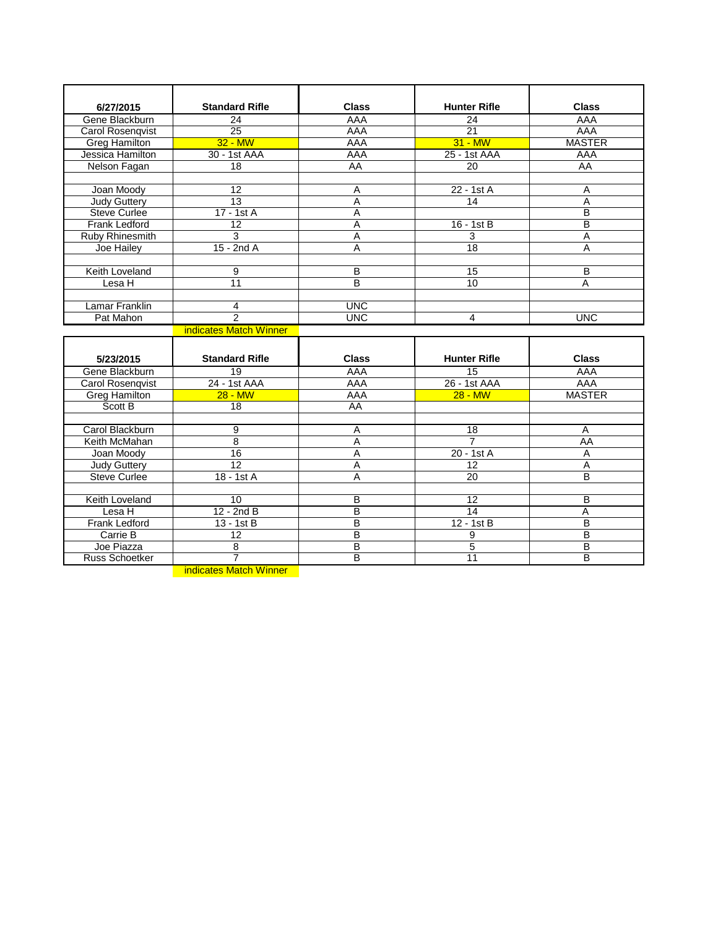| 6/27/2015               | <b>Standard Rifle</b>    | <b>Class</b>    | <b>Hunter Rifle</b> | <b>Class</b>   |
|-------------------------|--------------------------|-----------------|---------------------|----------------|
| Gene Blackburn          | 24                       | AAA             | 24                  | AAA            |
| Carol Rosenqvist        | $\overline{25}$          | AAA             | $\overline{21}$     | <b>AAA</b>     |
| <b>Greg Hamilton</b>    | $32 - MW$                | <b>AAA</b>      | $31 - MW$           | <b>MASTER</b>  |
| Jessica Hamilton        | 30 - 1st AAA             | AAA             | 25 - 1st AAA        | AAA            |
| Nelson Fagan            | 18                       | $\overline{AA}$ | 20                  | <b>AA</b>      |
|                         |                          |                 |                     |                |
| Joan Moody              | 12                       | A               | 22 - 1st A          | A              |
| <b>Judy Guttery</b>     | $\overline{13}$          | $\overline{A}$  | $\overline{14}$     | $\overline{A}$ |
| <b>Steve Curlee</b>     | 17 - 1st A               | $\overline{A}$  |                     | B              |
| <b>Frank Ledford</b>    | $\overline{12}$          | $\overline{A}$  | $16 - 1st$ B        | B              |
| Ruby Rhinesmith         | 3                        | A               | 3                   | A              |
| Joe Hailey              | $15 - 2ndA$              | A               | $\overline{18}$     | A              |
|                         |                          |                 |                     |                |
| <b>Keith Loveland</b>   | 9                        | B               | 15                  | B              |
| Lesa H                  | $\overline{11}$          | $\overline{B}$  | 10 <sup>10</sup>    | A              |
|                         |                          |                 |                     |                |
| Lamar Franklin          | 4                        | <b>UNC</b>      |                     |                |
| Pat Mahon               | $\overline{\mathcal{P}}$ | <b>UNC</b>      | 4                   | <b>UNC</b>     |
|                         | indicates Match Winner   |                 |                     |                |
|                         |                          |                 |                     |                |
| 5/23/2015               | <b>Standard Rifle</b>    | <b>Class</b>    | <b>Hunter Rifle</b> | <b>Class</b>   |
| Gene Blackburn          | 19                       | AAA             | 15                  | AAA            |
| <b>Carol Rosenqvist</b> | 24 - 1st AAA             | <b>AAA</b>      | 26 - 1st AAA        | <b>AAA</b>     |
| <b>Greg Hamilton</b>    | $28 - MW$                | AAA             | $28 - MW$           | <b>MASTER</b>  |
| Scott B                 | 18                       | $\overline{AA}$ |                     |                |
|                         |                          |                 |                     |                |
| Carol Blackburn         | 9                        | Α               | 18                  | Α              |
| Keith McMahan           | $\overline{8}$           | $\overline{A}$  | $\overline{7}$      | <b>AA</b>      |
| Joan Moody              | 16                       | A               | 20 - 1st A          | $\overline{A}$ |
| Judy Guttery            | $\overline{12}$          | $\overline{A}$  | 12                  | $\overline{A}$ |
| <b>Steve Curlee</b>     | 18 - 1st A               | $\overline{A}$  | 20                  | $\overline{B}$ |
|                         |                          |                 |                     |                |
| Keith Loveland          | 10                       | B               | 12                  | B              |
| Lesa H                  | $12 - 2ndB$              | B               | 14                  | А              |
| <b>Frank Ledford</b>    | $13 - 1st$ B             | B               | $12 - 1st$ B        | $\overline{B}$ |

B

 $\frac{B}{B}$ 

9

5

B 11

B

B

B

8 7 indicates Match Winner

Carrie B 12

Joe Piazza

Russ Schoetker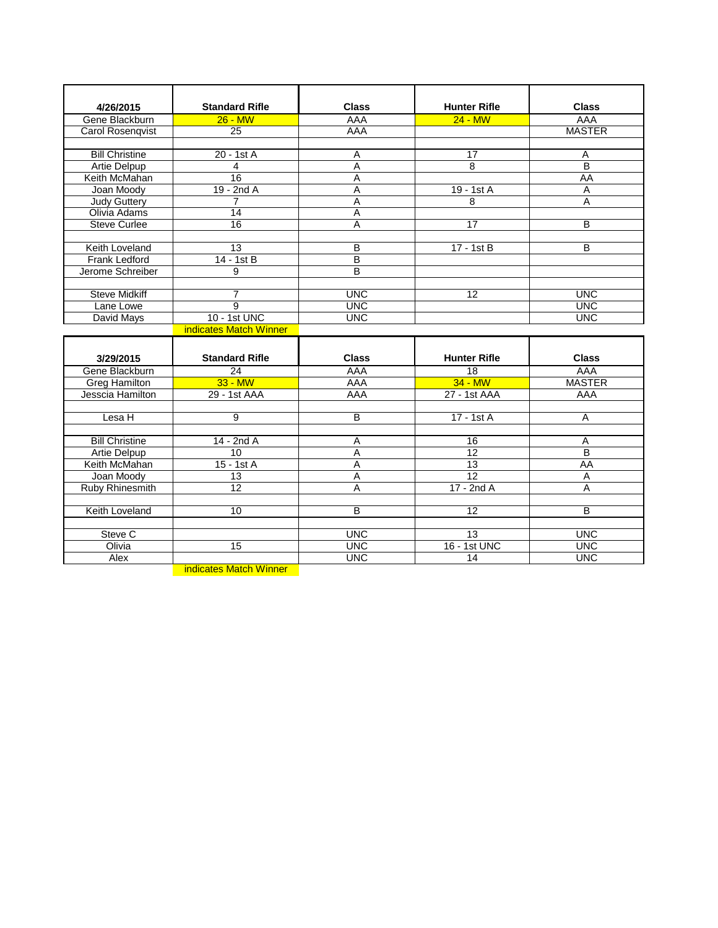| 4/26/2015             | <b>Standard Rifle</b>  | <b>Class</b>   | <b>Hunter Rifle</b> | <b>Class</b>            |
|-----------------------|------------------------|----------------|---------------------|-------------------------|
| Gene Blackburn        | $26 - MW$              | AAA            | $24 - MW$           | AAA                     |
| Carol Rosenqvist      | 25                     | <b>AAA</b>     |                     | <b>MASTER</b>           |
|                       |                        |                |                     |                         |
| <b>Bill Christine</b> | 20 - 1st A             | A              | 17                  | Α                       |
| Artie Delpup          | $\overline{4}$         | $\overline{A}$ | 8                   | $\overline{\mathsf{B}}$ |
| Keith McMahan         | $\overline{16}$        | A              |                     | AA                      |
| Joan Moodv            | $19 - 2ndA$            | A              | 19 - 1st A          | A                       |
| <b>Judy Guttery</b>   | $\overline{7}$         | A              | 8                   | A                       |
| Olivia Adams          | 14                     | A              |                     |                         |
| <b>Steve Curlee</b>   | $\overline{16}$        | $\overline{A}$ | $\overline{17}$     | B                       |
|                       |                        |                |                     |                         |
| Keith Loveland        | $\overline{13}$        | $\overline{B}$ | $17 - 1st$ B        | В                       |
| <b>Frank Ledford</b>  | 14 - 1st B             | B              |                     |                         |
| Jerome Schreiber      | 9                      | $\overline{B}$ |                     |                         |
|                       |                        |                |                     |                         |
| <b>Steve Midkiff</b>  | $\overline{7}$         | <b>UNC</b>     | 12                  | <b>UNC</b>              |
| Lane Lowe             | $\overline{9}$         | <b>UNC</b>     |                     | <b>UNC</b>              |
| David Mays            | 10 - 1st UNC           | <b>UNC</b>     |                     | <b>UNC</b>              |
|                       | indicates Match Winner |                |                     |                         |
|                       |                        |                |                     |                         |
| 3/29/2015             | <b>Standard Rifle</b>  | <b>Class</b>   | <b>Hunter Rifle</b> | <b>Class</b>            |
| Gene Blackburn        | 24                     | AAA            | $\overline{18}$     | <b>AAA</b>              |
| <b>Greg Hamilton</b>  | $33 - MW$              | <b>AAA</b>     | $34 - MW$           | <b>MASTER</b>           |
| Jesscia Hamilton      | 29 - 1st AAA           | AAA            | 27 - 1st AAA        | AAA                     |
|                       |                        |                |                     |                         |
| Lesa H                | $\overline{9}$         | $\overline{B}$ | 17 - 1st A          | A                       |
|                       |                        |                |                     |                         |
| <b>Bill Christine</b> | 14 - 2nd A             | A              | 16                  | A                       |
| Artie Delpup          | 10                     | A              | $\overline{12}$     | B                       |
| Keith McMahan         | $15 - 1stA$            | A              | 13                  | AA                      |
| Joan Moody            | 13                     | A              | 12                  | Α                       |
| Ruby Rhinesmith       | 12                     | A              | $17 - 2ndA$         | A                       |
|                       |                        |                |                     |                         |
| Keith Loveland        | 10                     | B              | $\overline{12}$     | B                       |
|                       |                        |                |                     |                         |
| Steve C               |                        | <b>UNC</b>     | 13                  | <b>UNC</b>              |
| Olivia                | 15                     | <b>UNC</b>     | 16 - 1st UNC        | <b>UNC</b>              |
| <b>Alex</b>           |                        | <b>UNC</b>     | $\overline{14}$     | <b>UNC</b>              |

**indicates Match Winner**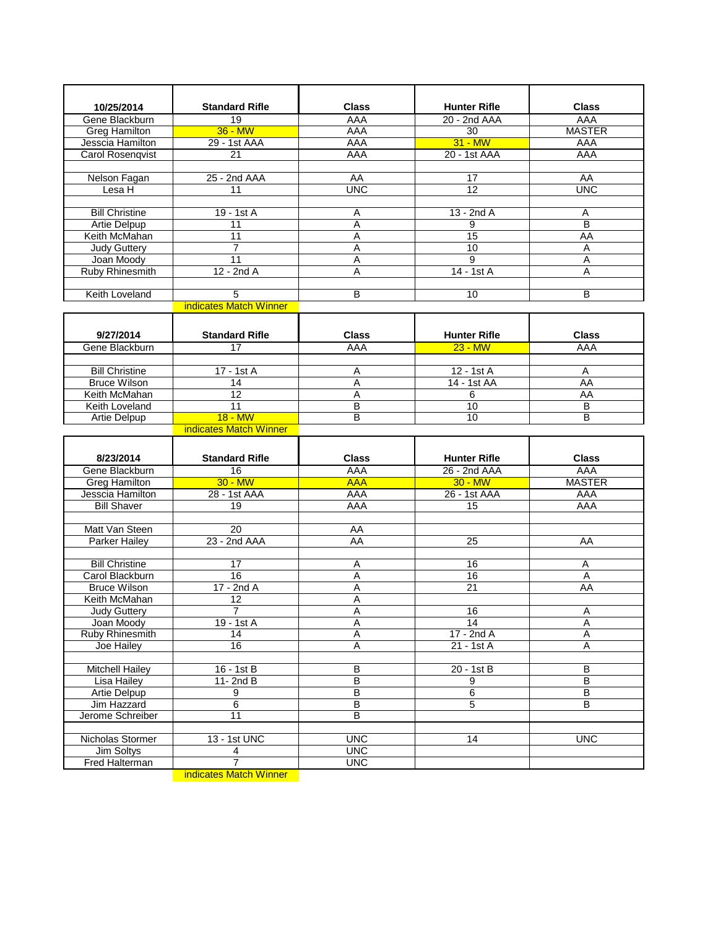| 10/25/2014                               | <b>Standard Rifle</b>     | <b>Class</b>             | <b>Hunter Rifle</b>   | <b>Class</b>  |
|------------------------------------------|---------------------------|--------------------------|-----------------------|---------------|
| Gene Blackburn                           | $\overline{19}$           | AAA                      | 20 - 2nd AAA          | AAA           |
| Greg Hamilton                            | $36 - MW$<br>29 - 1st AAA | <b>AAA</b>               | 30<br>$31 - MW$       | <b>MASTER</b> |
| Jesscia Hamilton                         | 21                        | <b>AAA</b><br>AAA        | 20 - 1st AAA          | AAA<br>AAA    |
| <b>Carol Rosenqvist</b>                  |                           |                          |                       |               |
| Nelson Fagan                             | 25 - 2nd AAA              | AA                       | 17                    | AA            |
| Lesa H                                   | 11                        | <b>UNC</b>               | $\overline{12}$       | <b>UNC</b>    |
|                                          |                           |                          |                       |               |
| <b>Bill Christine</b>                    | 19 - 1st A                | A                        | $13 - 2ndA$           | Α             |
| Artie Delpup                             | 11                        | A                        | 9                     | B             |
| Keith McMahan                            | 11                        | A                        | 15                    | AA            |
| <b>Judy Guttery</b>                      | 7                         | $\overline{A}$           | 10                    | A             |
| Joan Moody                               | 11                        | Α                        | 9                     | Α             |
| <b>Ruby Rhinesmith</b>                   | $12 - 2ndA$               | A                        | 14 - 1st A            | A             |
|                                          |                           |                          |                       |               |
| Keith Loveland                           | 5                         | B                        | 10                    | B             |
|                                          | indicates Match Winner    |                          |                       |               |
|                                          |                           |                          |                       |               |
| 9/27/2014                                | <b>Standard Rifle</b>     | <b>Class</b>             | <b>Hunter Rifle</b>   | <b>Class</b>  |
| Gene Blackburn                           | 17                        | <b>AAA</b>               | $23 - MW$             | <b>AAA</b>    |
|                                          |                           |                          |                       |               |
| <b>Bill Christine</b>                    | 17 - 1st A                | Α                        | 12 - 1st A            | Α             |
| <b>Bruce Wilson</b>                      | 14                        | A                        | 14 - 1st AA           | AA            |
| Keith McMahan                            | $\overline{12}$           | A                        | 6                     | AA            |
| Keith Loveland                           | $\overline{11}$           | В                        | 10                    | B             |
| Artie Delpup                             | $18 - MW$                 | B                        | 10                    | B             |
|                                          | indicates Match Winner    |                          |                       |               |
|                                          |                           |                          |                       |               |
|                                          |                           |                          |                       |               |
| 8/23/2014                                | <b>Standard Rifle</b>     | <b>Class</b>             | <b>Hunter Rifle</b>   | <b>Class</b>  |
| Gene Blackburn                           | $\overline{16}$           | <b>AAA</b>               | 26 - 2nd AAA          | AAA           |
| <b>Greg Hamilton</b>                     | $30 - MW$                 | <b>AAA</b>               | $30 - MW$             | <b>MASTER</b> |
| Jesscia Hamilton                         | 28 - 1st AAA              | AAA                      | 26 - 1st AAA          | AAA           |
| <b>Bill Shaver</b>                       | 19                        | <b>AAA</b>               | 15                    | AAA           |
|                                          |                           |                          |                       |               |
| Matt Van Steen                           | 20                        | AA                       |                       |               |
| <b>Parker Hailey</b>                     | 23 - 2nd AAA              | AA                       | 25                    | AA            |
|                                          | $\overline{17}$           |                          | $\overline{16}$       |               |
| <b>Bill Christine</b><br>Carol Blackburn | 16                        | Α<br>A                   |                       | Ā<br>Α        |
| <b>Bruce Wilson</b>                      | 17 - 2nd A                | Α                        | 16<br>$\overline{21}$ | <b>AA</b>     |
| Keith McMahan                            | 12                        | A                        |                       |               |
| <b>Judy Guttery</b>                      | 7                         | A                        | 16                    | A             |
| Joan Moody                               | 19 - 1st A                | Α                        | $\overline{14}$       | Α             |
| <b>Ruby Rhinesmith</b>                   | 14                        | Ā                        | 17 - 2nd A            | Α             |
| Joe Hailey                               | 16                        | Α                        | $21 - 1stA$           | Α             |
|                                          |                           |                          |                       |               |
| <b>Mitchell Hailey</b>                   | $16 - 1st$ B              | $\overline{B}$           | 20 - 1st B            | B             |
| <b>Lisa Hailey</b>                       | $11 - 2ndB$               | $\overline{B}$           | 9                     | B             |
| <b>Artie Delpup</b>                      | $\overline{9}$            | B                        | $6\overline{6}$       | B             |
| Jim Hazzard                              | $\overline{6}$            | B                        | 5                     | B             |
| Jerome Schreiber                         | 11                        | B                        |                       |               |
|                                          |                           |                          |                       |               |
| Nicholas Stormer                         | 13 - 1st UNC              | <b>UNC</b>               | 14                    | <b>UNC</b>    |
| Jim Soltys<br>Fred Halterman             | 4<br>7                    | <b>UNC</b><br><b>UNC</b> |                       |               |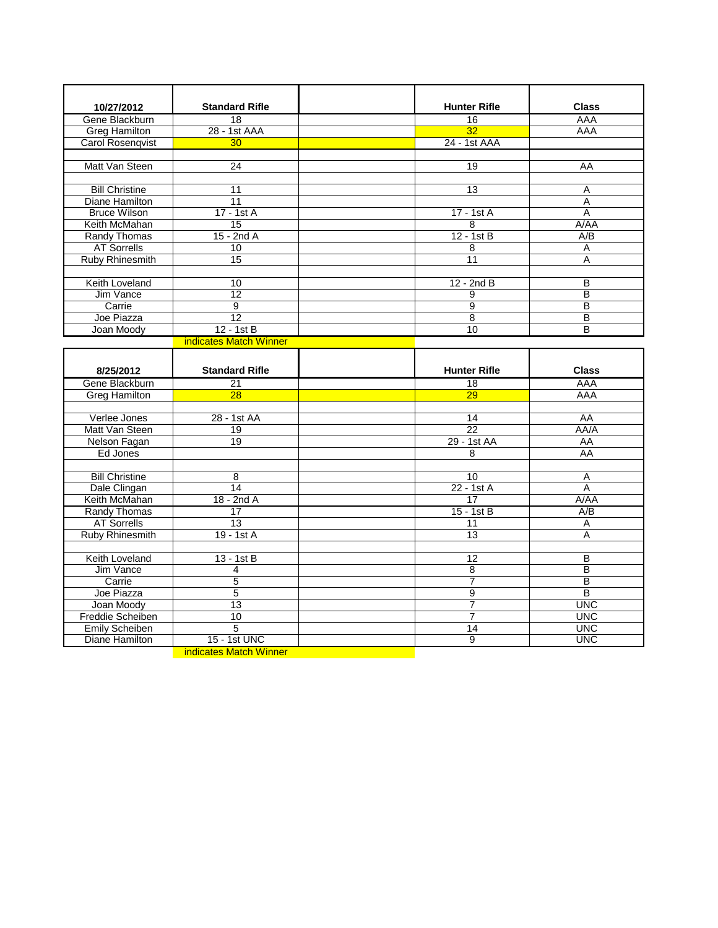| 10/27/2012                            | <b>Standard Rifle</b>         | <b>Hunter Rifle</b> | <b>Class</b>             |
|---------------------------------------|-------------------------------|---------------------|--------------------------|
| Gene Blackburn                        | 18                            | $\overline{16}$     | <b>AAA</b>               |
| <b>Greg Hamilton</b>                  | 28 - 1st AAA                  | 32                  | AAA                      |
| <b>Carol Rosenqvist</b>               | 30                            | 24 - 1st AAA        |                          |
| Matt Van Steen                        | 24                            | 19                  | AA                       |
|                                       |                               |                     |                          |
| <b>Bill Christine</b>                 | 11                            | $\overline{13}$     | A                        |
| Diane Hamilton                        | 11                            |                     | A                        |
| <b>Bruce Wilson</b>                   | $17 - 1stA$                   | 17 - 1st A          | A                        |
| Keith McMahan                         | 15                            | 8                   | A/AA                     |
| <b>Randy Thomas</b>                   | $15 - 2ndA$                   | $12 - 1st$ B        | A/B                      |
| <b>AT Sorrells</b>                    | 10                            | 8                   | Α                        |
| Ruby Rhinesmith                       | $\overline{15}$               | $\overline{11}$     | A                        |
|                                       |                               |                     |                          |
| Keith Loveland                        | 10                            | $12 - 2ndB$         | B                        |
| <b>Jim Vance</b>                      | 12                            | 9                   | B                        |
| Carrie                                | 9                             | $\overline{9}$      | B                        |
| Joe Piazza                            | 12                            | 8                   | B                        |
| Joan Moody                            | 12 - 1st B                    | 10                  | B                        |
|                                       | indicates Match Winner        |                     |                          |
|                                       |                               |                     |                          |
| 8/25/2012                             | <b>Standard Rifle</b>         | <b>Hunter Rifle</b> | <b>Class</b>             |
| Gene Blackburn                        | $\overline{21}$               | $\overline{18}$     | AAA                      |
| <b>Greg Hamilton</b>                  | 28                            | 29                  | <b>AAA</b>               |
|                                       |                               |                     |                          |
| Verlee Jones                          | 28 - 1st AA                   | 14                  | AA                       |
| Matt Van Steen                        | 19                            | 22                  | A A / A                  |
| Nelson Fagan                          | 19                            | 29 - 1st AA         | AA                       |
| Ed Jones                              |                               | 8                   | AA                       |
|                                       |                               |                     |                          |
| <b>Bill Christine</b>                 | 8                             | 10                  | Α                        |
| Dale Clingan                          | 14                            | 22 - 1st A          | $\overline{A}$           |
| Keith McMahan                         | 18 - 2nd A                    | 17                  | A/AA                     |
| <b>Randy Thomas</b>                   | 17                            | $15 - 1st$ B        | $\overline{A/B}$         |
| <b>AT Sorrells</b>                    | $\overline{13}$               | 11                  | Α                        |
| <b>Ruby Rhinesmith</b>                | $19 - 1stA$                   | 13                  | A                        |
|                                       |                               |                     |                          |
| Keith Loveland                        | $13 - 1st$ B                  | 12                  | B                        |
| Jim Vance                             | 4                             | $\overline{8}$      | B                        |
| Carrie<br>Joe Piazza                  | $\overline{5}$<br>5           | $\overline{7}$      | B<br>В                   |
|                                       | 13                            | 9<br>$\overline{7}$ |                          |
| Joan Moody<br><b>Freddie Scheiben</b> | 10                            | 7                   | <b>UNC</b><br><b>UNC</b> |
| <b>Emily Scheiben</b>                 | 5                             | 14                  | <b>UNC</b>               |
| Diane Hamilton                        | 15 - 1st UNC                  | $\overline{9}$      | <b>UNC</b>               |
|                                       | <b>indicates Match Winner</b> |                     |                          |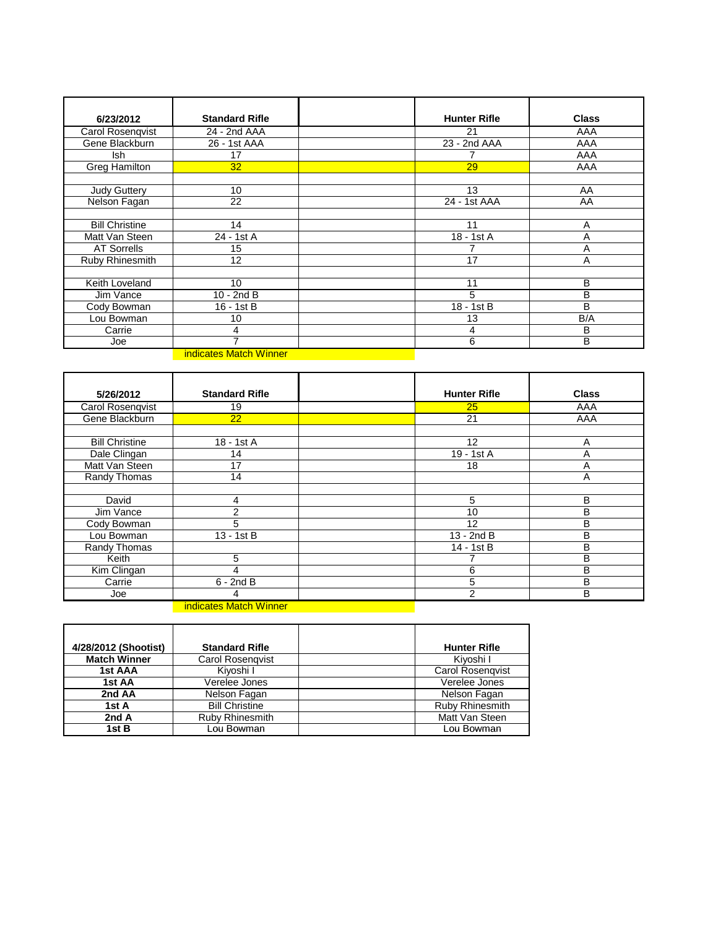| 6/23/2012             | <b>Standard Rifle</b>  | <b>Hunter Rifle</b> | <b>Class</b> |
|-----------------------|------------------------|---------------------|--------------|
| Carol Rosenqvist      | 24 - 2nd AAA           | 21                  | AAA          |
| Gene Blackburn        | 26 - 1st AAA           | 23 - 2nd AAA        | AAA          |
| lsh                   | 17                     |                     | AAA          |
| <b>Greg Hamilton</b>  | 32                     | 29                  | AAA          |
|                       |                        |                     |              |
| <b>Judy Guttery</b>   | 10                     | 13                  | AA           |
| Nelson Fagan          | 22                     | 24 - 1st AAA        | AA           |
|                       |                        |                     |              |
| <b>Bill Christine</b> | 14                     | 11                  | A            |
| Matt Van Steen        | 24 - 1st A             | 18 - 1st A          | Α            |
| <b>AT Sorrells</b>    | 15                     |                     | A            |
| Ruby Rhinesmith       | 12                     | 17                  | A            |
|                       |                        |                     |              |
| Keith Loveland        | 10                     | 11                  | В            |
| Jim Vance             | $10 - 2ndB$            | 5                   | B            |
| Cody Bowman           | 16 - 1st B             | 18 - 1st B          | B            |
| Lou Bowman            | 10                     | 13                  | B/A          |
| Carrie                | 4                      | 4                   | в            |
| Joe                   | ⇁                      | 6                   | В            |
|                       | indicates Match Winner |                     |              |

**indicates Match Winner Contract Contract Contract Contract Contract Contract Contract Contract Contract Contract** 

| 5/26/2012             | <b>Standard Rifle</b>         | <b>Hunter Rifle</b> | <b>Class</b> |
|-----------------------|-------------------------------|---------------------|--------------|
| Carol Rosenqvist      | 19                            | 25                  | AAA          |
| Gene Blackburn        | 22                            | 21                  | AAA          |
|                       |                               |                     |              |
| <b>Bill Christine</b> | 18 - 1st A                    | 12                  | A            |
| Dale Clingan          | 14                            | 19 - 1st A          | Α            |
| Matt Van Steen        | 17                            | 18                  | Α            |
| Randy Thomas          | 14                            |                     | A            |
|                       |                               |                     |              |
| David                 | 4                             | 5                   | B            |
| Jim Vance             | 2                             | 10                  | B            |
| Cody Bowman           | 5                             | 12                  | B            |
| Lou Bowman            | 13 - 1st B                    | $13 - 2ndB$         | B            |
| Randy Thomas          |                               | 14 - 1st B          | B            |
| Keith                 | 5                             |                     | В            |
| Kim Clingan           | 4                             | 6                   | в            |
| Carrie                | $6 - 2ndB$                    | 5                   | B            |
| Joe                   | 4                             | $\overline{2}$      | B            |
|                       | <b>indicates Match Winner</b> |                     |              |

| 4/28/2012 (Shootist) | <b>Standard Rifle</b>  | <b>Hunter Rifle</b>     |
|----------------------|------------------------|-------------------------|
| <b>Match Winner</b>  | Carol Rosengvist       | Kiyoshi I               |
| 1st AAA              | Kivoshi I              | <b>Carol Rosengvist</b> |
| 1st AA               | Verelee Jones          | Verelee Jones           |
| 2nd AA               | Nelson Fagan           | Nelson Fagan            |
| 1st A                | <b>Bill Christine</b>  | <b>Ruby Rhinesmith</b>  |
| 2nd A                | <b>Ruby Rhinesmith</b> | Matt Van Steen          |
| 1st B                | Lou Bowman             | Lou Bowman              |